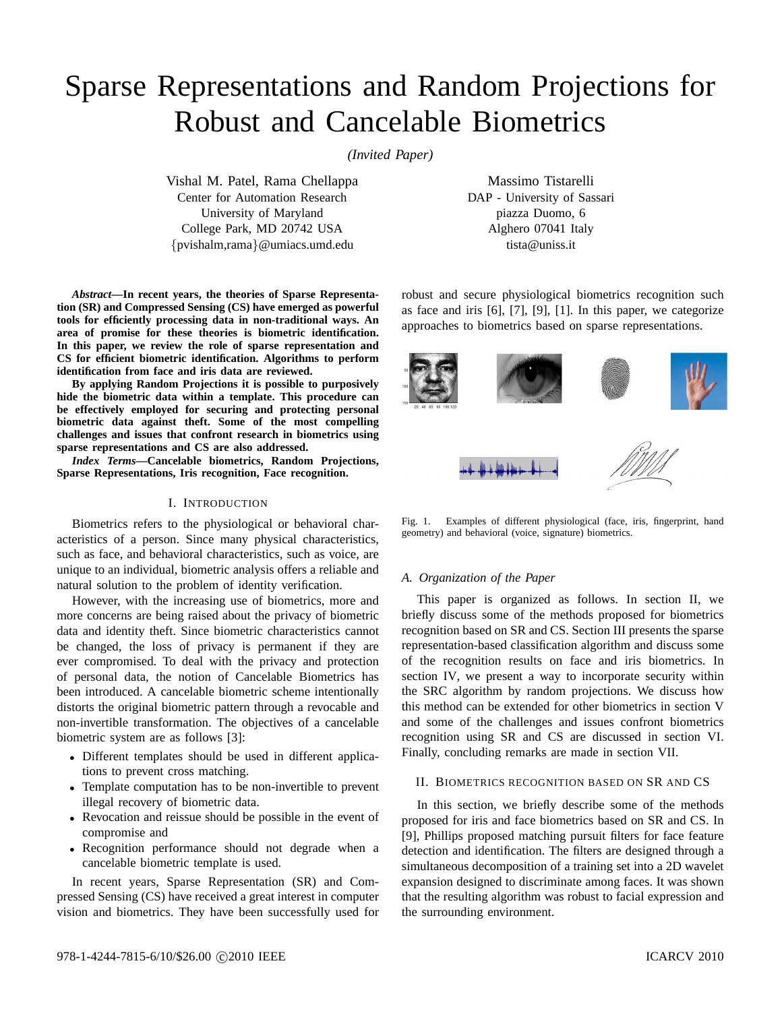# Sparse Representations and Random Projections for Robust and Cancelable Biometrics

*(Invited Paper)*

Vishal M. Patel, Rama Chellappa Center for Automation Research University of Maryland College Park, MD 20742 USA {pvishalm,rama}@umiacs.umd.edu

*Abstract***—In recent years, the theories of Sparse Representation (SR) and Compressed Sensing (CS) have emerged as powerful tools for efficiently processing data in non-traditional ways. An area of promise for these theories is biometric identification. In this paper, we review the role of sparse representation and CS for efficient biometric identification. Algorithms to perform identification from face and iris data are reviewed.**

**By applying Random Projections it is possible to purposively hide the biometric data within a template. This procedure can be effectively employed for securing and protecting personal biometric data against theft. Some of the most compelling challenges and issues that confront research in biometrics using sparse representations and CS are also addressed.**

*Index Terms***—Cancelable biometrics, Random Projections, Sparse Representations, Iris recognition, Face recognition.**

# I. INTRODUCTION

Biometrics refers to the physiological or behavioral characteristics of a person. Since many physical characteristics, such as face, and behavioral characteristics, such as voice, are unique to an individual, biometric analysis offers a reliable and natural solution to the problem of identity verification.

However, with the increasing use of biometrics, more and more concerns are being raised about the privacy of biometric data and identity theft. Since biometric characteristics cannot be changed, the loss of privacy is permanent if they are ever compromised. To deal with the privacy and protection of personal data, the notion of Cancelable Biometrics has been introduced. A cancelable biometric scheme intentionally distorts the original biometric pattern through a revocable and non-invertible transformation. The objectives of a cancelable biometric system are as follows [3]:

- Different templates should be used in different applications to prevent cross matching.
- Template computation has to be non-invertible to prevent illegal recovery of biometric data.
- Revocation and reissue should be possible in the event of compromise and
- Recognition performance should not degrade when a cancelable biometric template is used.

In recent years, Sparse Representation (SR) and Compressed Sensing (CS) have received a great interest in computer vision and biometrics. They have been successfully used for

Massimo Tistarelli DAP - University of Sassari piazza Duomo, 6 Alghero 07041 Italy tista@uniss.it

robust and secure physiological biometrics recognition such as face and iris [6], [7], [9], [1]. In this paper, we categorize approaches to biometrics based on sparse representations.



Fig. 1. Examples of different physiological (face, iris, fingerprint, hand geometry) and behavioral (voice, signature) biometrics.

# *A. Organization of the Paper*

This paper is organized as follows. In section II, we briefly discuss some of the methods proposed for biometrics recognition based on SR and CS. Section III presents the sparse representation-based classification algorithm and discuss some of the recognition results on face and iris biometrics. In section IV, we present a way to incorporate security within the SRC algorithm by random projections. We discuss how this method can be extended for other biometrics in section V and some of the challenges and issues confront biometrics recognition using SR and CS are discussed in section VI. Finally, concluding remarks are made in section VII.

# II. BIOMETRICS RECOGNITION BASED ON SR AND CS

In this section, we briefly describe some of the methods proposed for iris and face biometrics based on SR and CS. In [9], Phillips proposed matching pursuit filters for face feature detection and identification. The filters are designed through a simultaneous decomposition of a training set into a 2D wavelet expansion designed to discriminate among faces. It was shown that the resulting algorithm was robust to facial expression and the surrounding environment.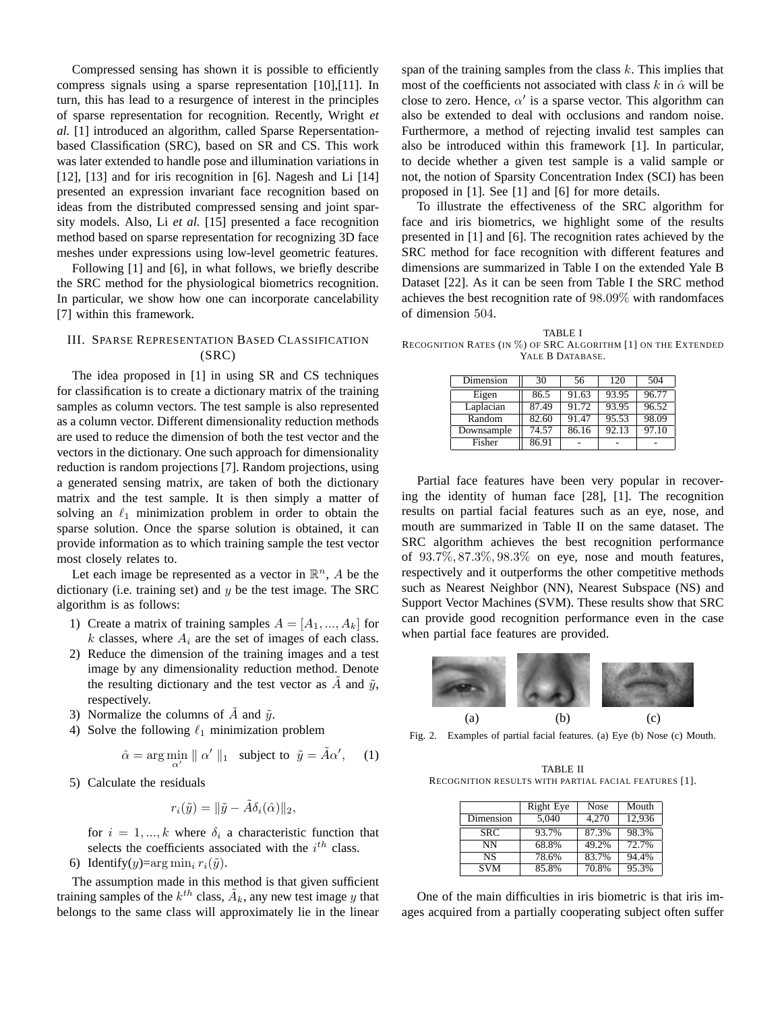Compressed sensing has shown it is possible to efficiently compress signals using a sparse representation [10],[11]. In turn, this has lead to a resurgence of interest in the principles of sparse representation for recognition. Recently, Wright *et al.* [1] introduced an algorithm, called Sparse Repersentationbased Classification (SRC), based on SR and CS. This work was later extended to handle pose and illumination variations in [12], [13] and for iris recognition in [6]. Nagesh and Li [14] presented an expression invariant face recognition based on ideas from the distributed compressed sensing and joint sparsity models. Also, Li *et al.* [15] presented a face recognition method based on sparse representation for recognizing 3D face meshes under expressions using low-level geometric features.

Following [1] and [6], in what follows, we briefly describe the SRC method for the physiological biometrics recognition. In particular, we show how one can incorporate cancelability [7] within this framework.

# III. SPARSE REPRESENTATION BASED CLASSIFICATION (SRC)

The idea proposed in [1] in using SR and CS techniques for classification is to create a dictionary matrix of the training samples as column vectors. The test sample is also represented as a column vector. Different dimensionality reduction methods are used to reduce the dimension of both the test vector and the vectors in the dictionary. One such approach for dimensionality reduction is random projections [7]. Random projections, using a generated sensing matrix, are taken of both the dictionary matrix and the test sample. It is then simply a matter of solving an  $\ell_1$  minimization problem in order to obtain the sparse solution. Once the sparse solution is obtained, it can provide information as to which training sample the test vector most closely relates to.

Let each image be represented as a vector in  $\mathbb{R}^n$ , A be the dictionary (i.e. training set) and  $y$  be the test image. The SRC algorithm is as follows:

- 1) Create a matrix of training samples  $A = [A_1, ..., A_k]$  for k classes, where  $A_i$  are the set of images of each class.
- 2) Reduce the dimension of the training images and a test image by any dimensionality reduction method. Denote the resulting dictionary and the test vector as  $\ddot{A}$  and  $\ddot{y}$ , respectively.
- 3) Normalize the columns of  $\tilde{A}$  and  $\tilde{y}$ .
- 4) Solve the following  $\ell_1$  minimization problem

$$
\hat{\alpha} = \arg\min_{\alpha'} \parallel \alpha' \parallel_1 \text{ subject to } \tilde{y} = \tilde{A}\alpha', \quad (1)
$$

5) Calculate the residuals

$$
r_i(\tilde{y}) = \|\tilde{y} - \tilde{A}\delta_i(\hat{\alpha})\|_2,
$$

for  $i = 1, ..., k$  where  $\delta_i$  a characteristic function that selects the coefficients associated with the  $i^{th}$  class.

6) Identify(y)=arg min<sub>i</sub>  $r_i(\tilde{y})$ .

The assumption made in this method is that given sufficient training samples of the  $k^{th}$  class,  $\tilde{A}_k$ , any new test image y that belongs to the same class will approximately lie in the linear span of the training samples from the class  $k$ . This implies that most of the coefficients not associated with class  $k$  in  $\hat{\alpha}$  will be close to zero. Hence,  $\alpha'$  is a sparse vector. This algorithm can also be extended to deal with occlusions and random noise. Furthermore, a method of rejecting invalid test samples can also be introduced within this framework [1]. In particular, to decide whether a given test sample is a valid sample or not, the notion of Sparsity Concentration Index (SCI) has been proposed in [1]. See [1] and [6] for more details.

To illustrate the effectiveness of the SRC algorithm for face and iris biometrics, we highlight some of the results presented in [1] and [6]. The recognition rates achieved by the SRC method for face recognition with different features and dimensions are summarized in Table I on the extended Yale B Dataset [22]. As it can be seen from Table I the SRC method achieves the best recognition rate of 98.09% with randomfaces of dimension 504.

TABLE I RECOGNITION RATES (IN %) OF SRC ALGORITHM [1] ON THE EXTENDED YALE B DATABASE.

| Dimension  | 30    | 56    | 120   | 504   |
|------------|-------|-------|-------|-------|
| Eigen      | 86.5  | 91.63 | 93.95 | 96.77 |
| Laplacian  | 87.49 | 91.72 | 93.95 | 96.52 |
| Random     | 82.60 | 91.47 | 95.53 | 98.09 |
| Downsample | 74.57 | 86.16 | 92.13 | 97.10 |
| Fisher     | 86.91 |       |       |       |

Partial face features have been very popular in recovering the identity of human face [28], [1]. The recognition results on partial facial features such as an eye, nose, and mouth are summarized in Table II on the same dataset. The SRC algorithm achieves the best recognition performance of 93.7%, 87.3%, 98.3% on eye, nose and mouth features, respectively and it outperforms the other competitive methods such as Nearest Neighbor (NN), Nearest Subspace (NS) and Support Vector Machines (SVM). These results show that SRC can provide good recognition performance even in the case when partial face features are provided.



Fig. 2. Examples of partial facial features. (a) Eye (b) Nose (c) Mouth.

TABLE II RECOGNITION RESULTS WITH PARTIAL FACIAL FEATURES [1].

|            | Right Eye | <b>Nose</b> | Mouth  |
|------------|-----------|-------------|--------|
| Dimension  | 5.040     | 4.270       | 12,936 |
| <b>SRC</b> | 93.7%     | 87.3%       | 98.3%  |
| NΝ         | 68.8%     | 49.2%       | 72.7%  |
| NS.        | 78.6%     | 83.7%       | 94.4%  |
| <b>SVM</b> | 85.8%     | 70.8%       | 95.3%  |

One of the main difficulties in iris biometric is that iris images acquired from a partially cooperating subject often suffer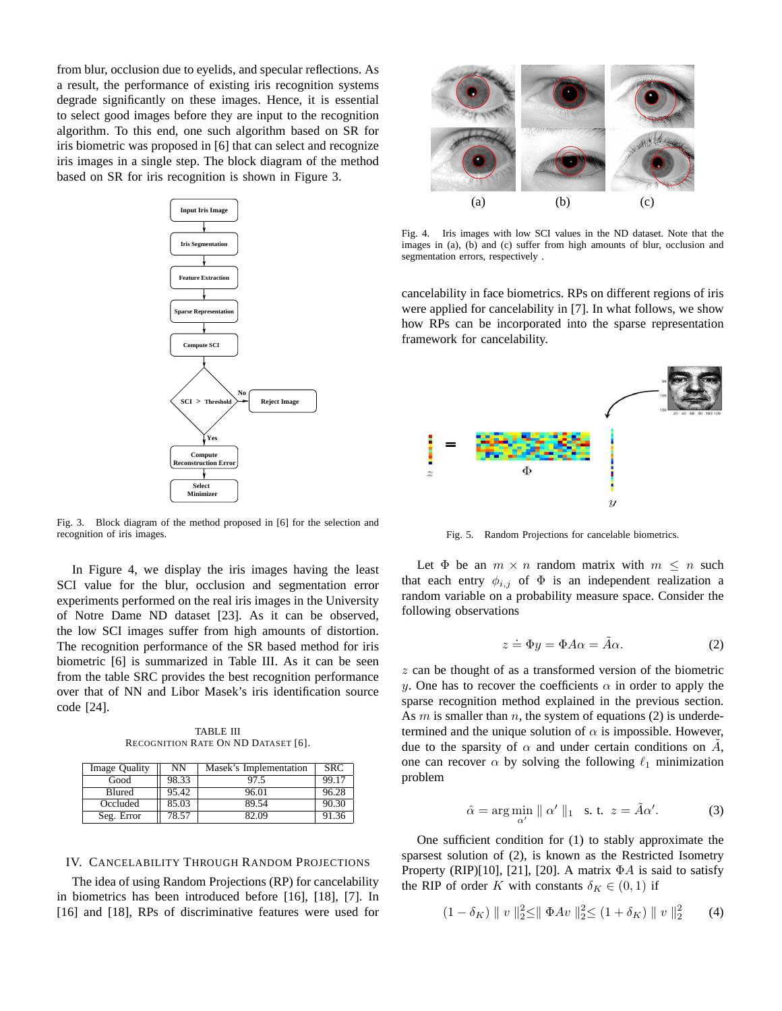from blur, occlusion due to eyelids, and specular reflections. As a result, the performance of existing iris recognition systems degrade significantly on these images. Hence, it is essential to select good images before they are input to the recognition algorithm. To this end, one such algorithm based on SR for iris biometric was proposed in [6] that can select and recognize iris images in a single step. The block diagram of the method based on SR for iris recognition is shown in Figure 3.



Fig. 3. Block diagram of the method proposed in [6] for the selection and recognition of iris images.

In Figure 4, we display the iris images having the least SCI value for the blur, occlusion and segmentation error experiments performed on the real iris images in the University of Notre Dame ND dataset [23]. As it can be observed, the low SCI images suffer from high amounts of distortion. The recognition performance of the SR based method for iris biometric [6] is summarized in Table III. As it can be seen from the table SRC provides the best recognition performance over that of NN and Libor Masek's iris identification source code [24].

TABLE III RECOGNITION RATE ON ND DATASET [6].

| Image Quality | NN    | Masek's Implementation | <b>SRC</b> |
|---------------|-------|------------------------|------------|
| Good          | 98.33 | 97.5                   | 99.17      |
| Blured        | 95.42 | 96.01                  | 96.28      |
| Occluded      | 85.03 | 89.54                  | 90.30      |
| Seg. Error    | 78.57 | 82.09                  | 91.36      |

## IV. CANCELABILITY THROUGH RANDOM PROJECTIONS

The idea of using Random Projections (RP) for cancelability in biometrics has been introduced before [16], [18], [7]. In [16] and [18], RPs of discriminative features were used for



Fig. 4. Iris images with low SCI values in the ND dataset. Note that the images in (a), (b) and (c) suffer from high amounts of blur, occlusion and segmentation errors, respectively .

cancelability in face biometrics. RPs on different regions of iris were applied for cancelability in [7]. In what follows, we show how RPs can be incorporated into the sparse representation framework for cancelability.



Fig. 5. Random Projections for cancelable biometrics.

Let  $\Phi$  be an  $m \times n$  random matrix with  $m \leq n$  such that each entry  $\phi_{i,j}$  of  $\Phi$  is an independent realization a random variable on a probability measure space. Consider the following observations

$$
z \doteq \Phi y = \Phi A \alpha = \tilde{A} \alpha. \tag{2}
$$

 $z$  can be thought of as a transformed version of the biometric y. One has to recover the coefficients  $\alpha$  in order to apply the sparse recognition method explained in the previous section. As  $m$  is smaller than  $n$ , the system of equations (2) is underdetermined and the unique solution of  $\alpha$  is impossible. However, due to the sparsity of  $\alpha$  and under certain conditions on A, one can recover  $\alpha$  by solving the following  $\ell_1$  minimization problem

$$
\hat{\alpha} = \arg\min_{\alpha'} \parallel \alpha' \parallel_1 \quad \text{s. t. } z = \tilde{A}\alpha'. \tag{3}
$$

One sufficient condition for (1) to stably approximate the sparsest solution of (2), is known as the Restricted Isometry Property (RIP)[10], [21], [20]. A matrix  $\Phi A$  is said to satisfy the RIP of order K with constants  $\delta_K \in (0,1)$  if

$$
(1 - \delta_K) \parallel v \parallel_2^2 \le \parallel \Phi Av \parallel_2^2 \le (1 + \delta_K) \parallel v \parallel_2^2 \qquad (4)
$$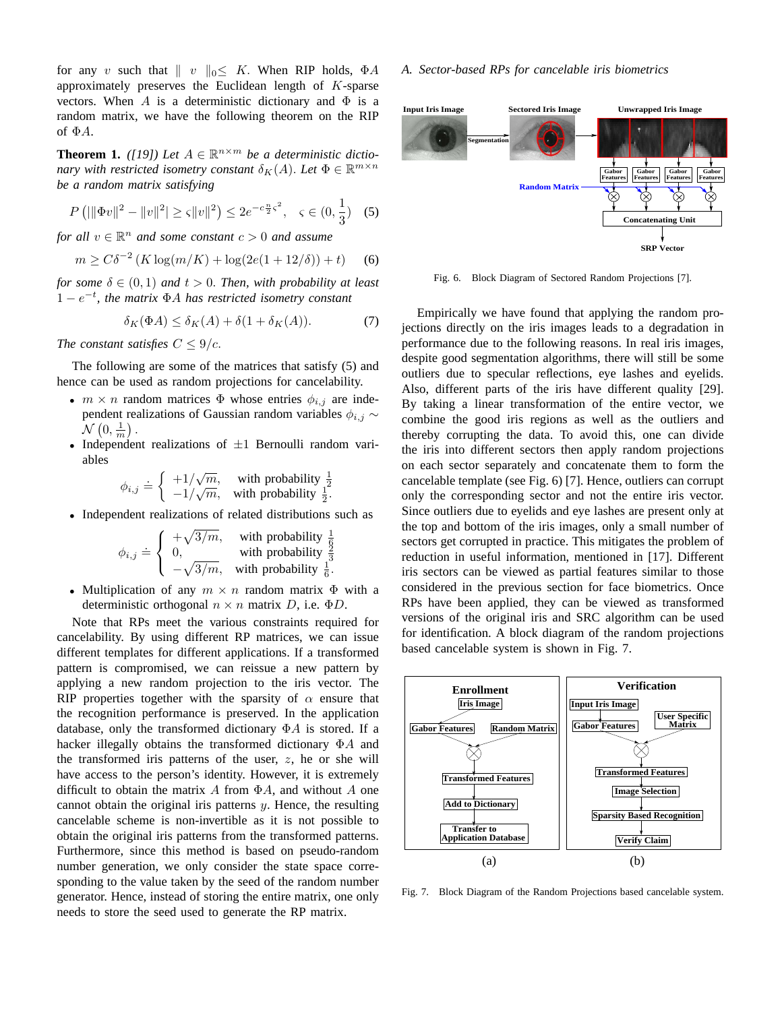for any v such that  $|| v ||_0 \leq K$ . When RIP holds,  $\Phi A$ approximately preserves the Euclidean length of  $K$ -sparse vectors. When A is a deterministic dictionary and  $\Phi$  is a random matrix, we have the following theorem on the RIP of ΦA.

**Theorem 1.** *([19])* Let  $A \in \mathbb{R}^{n \times m}$  be a deterministic dictio*nary with restricted isometry constant*  $\delta_K(A)$ *. Let*  $\Phi \in \mathbb{R}^{m \times n}$ *be a random matrix satisfying*

$$
P\left(||\Phi v||^2 - \|v\|^2| \ge \varsigma \|v\|^2\right) \le 2e^{-c\frac{n}{2}\varsigma^2}, \quad \varsigma \in (0, \frac{1}{3}) \quad (5)
$$

*for all*  $v \in \mathbb{R}^n$  *and some constant*  $c > 0$  *and assume* 

$$
m \ge C\delta^{-2} \left( K \log(m/K) + \log(2e(1+12/\delta)) + t \right) \tag{6}
$$

*for some*  $\delta \in (0,1)$  *and*  $t > 0$ *. Then, with probability at least* 1 − e −t *, the matrix* ΦA *has restricted isometry constant*

$$
\delta_K(\Phi A) \le \delta_K(A) + \delta(1 + \delta_K(A)).\tag{7}
$$

*The constant satisfies*  $C \leq 9/c$ .

The following are some of the matrices that satisfy (5) and hence can be used as random projections for cancelability.

- $m \times n$  random matrices  $\Phi$  whose entries  $\phi_{i,j}$  are independent realizations of Gaussian random variables  $\phi_{i,j} \sim$  $\mathcal{N}\left(0,\frac{1}{m}\right)$  $\frac{1}{m}$ ).
- Independent realizations of  $\pm 1$  Bernoulli random variables

$$
\phi_{i,j} \doteq \left\{ \begin{array}{ll} +1/\sqrt{m}, & \text{with probability } \frac{1}{2} \\ -1/\sqrt{m}, & \text{with probability } \frac{1}{2}. \end{array} \right.
$$

• Independent realizations of related distributions such as

$$
\phi_{i,j} \doteq \left\{ \begin{array}{ll} +\sqrt{3/m}, & \text{with probability } \frac{1}{6} \\ 0, & \text{with probability } \frac{2}{3} \\ -\sqrt{3/m}, & \text{with probability } \frac{1}{6}. \end{array} \right.
$$

• Multiplication of any  $m \times n$  random matrix  $\Phi$  with a deterministic orthogonal  $n \times n$  matrix D, i.e.  $\Phi D$ .

Note that RPs meet the various constraints required for cancelability. By using different RP matrices, we can issue different templates for different applications. If a transformed pattern is compromised, we can reissue a new pattern by applying a new random projection to the iris vector. The RIP properties together with the sparsity of  $\alpha$  ensure that the recognition performance is preserved. In the application database, only the transformed dictionary  $\Phi A$  is stored. If a hacker illegally obtains the transformed dictionary  $\Phi A$  and the transformed iris patterns of the user,  $z$ , he or she will have access to the person's identity. However, it is extremely difficult to obtain the matrix A from  $\Phi A$ , and without A one cannot obtain the original iris patterns  $y$ . Hence, the resulting cancelable scheme is non-invertible as it is not possible to obtain the original iris patterns from the transformed patterns. Furthermore, since this method is based on pseudo-random number generation, we only consider the state space corresponding to the value taken by the seed of the random number generator. Hence, instead of storing the entire matrix, one only needs to store the seed used to generate the RP matrix.

## *A. Sector-based RPs for cancelable iris biometrics*



Fig. 6. Block Diagram of Sectored Random Projections [7].

Empirically we have found that applying the random projections directly on the iris images leads to a degradation in performance due to the following reasons. In real iris images, despite good segmentation algorithms, there will still be some outliers due to specular reflections, eye lashes and eyelids. Also, different parts of the iris have different quality [29]. By taking a linear transformation of the entire vector, we combine the good iris regions as well as the outliers and thereby corrupting the data. To avoid this, one can divide the iris into different sectors then apply random projections on each sector separately and concatenate them to form the cancelable template (see Fig. 6) [7]. Hence, outliers can corrupt only the corresponding sector and not the entire iris vector. Since outliers due to eyelids and eye lashes are present only at the top and bottom of the iris images, only a small number of sectors get corrupted in practice. This mitigates the problem of reduction in useful information, mentioned in [17]. Different iris sectors can be viewed as partial features similar to those considered in the previous section for face biometrics. Once RPs have been applied, they can be viewed as transformed versions of the original iris and SRC algorithm can be used for identification. A block diagram of the random projections based cancelable system is shown in Fig. 7.



Fig. 7. Block Diagram of the Random Projections based cancelable system.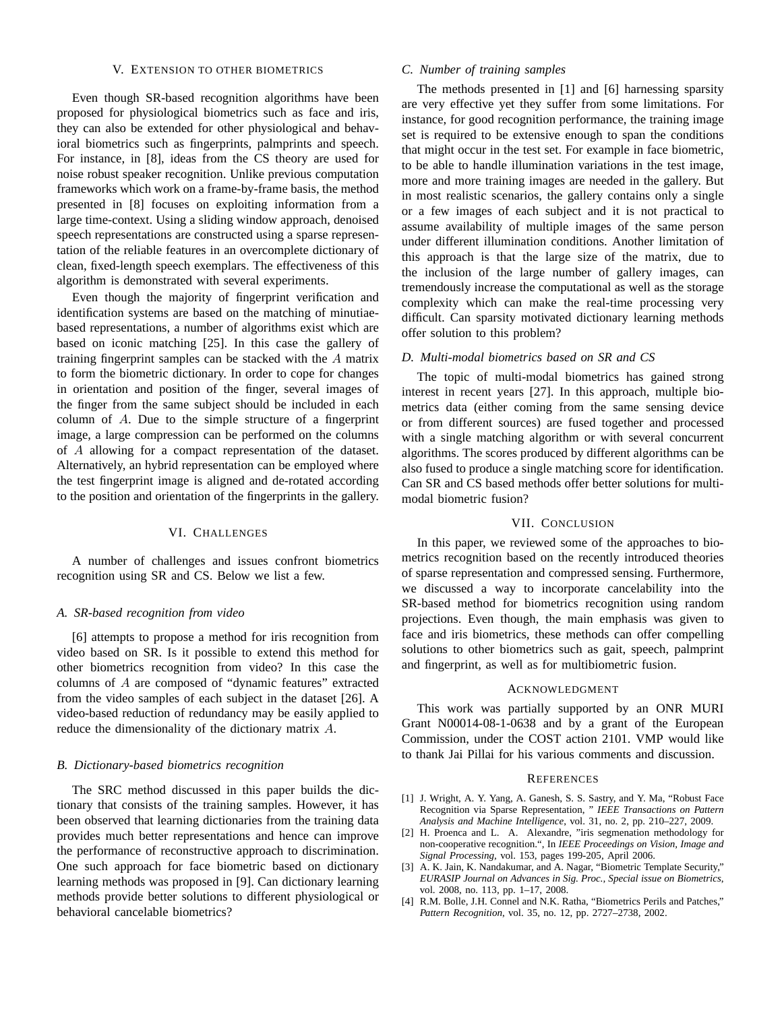# V. EXTENSION TO OTHER BIOMETRICS

Even though SR-based recognition algorithms have been proposed for physiological biometrics such as face and iris, they can also be extended for other physiological and behavioral biometrics such as fingerprints, palmprints and speech. For instance, in [8], ideas from the CS theory are used for noise robust speaker recognition. Unlike previous computation frameworks which work on a frame-by-frame basis, the method presented in [8] focuses on exploiting information from a large time-context. Using a sliding window approach, denoised speech representations are constructed using a sparse representation of the reliable features in an overcomplete dictionary of clean, fixed-length speech exemplars. The effectiveness of this algorithm is demonstrated with several experiments.

Even though the majority of fingerprint verification and identification systems are based on the matching of minutiaebased representations, a number of algorithms exist which are based on iconic matching [25]. In this case the gallery of training fingerprint samples can be stacked with the A matrix to form the biometric dictionary. In order to cope for changes in orientation and position of the finger, several images of the finger from the same subject should be included in each column of A. Due to the simple structure of a fingerprint image, a large compression can be performed on the columns of A allowing for a compact representation of the dataset. Alternatively, an hybrid representation can be employed where the test fingerprint image is aligned and de-rotated according to the position and orientation of the fingerprints in the gallery.

#### VI. CHALLENGES

A number of challenges and issues confront biometrics recognition using SR and CS. Below we list a few.

#### *A. SR-based recognition from video*

[6] attempts to propose a method for iris recognition from video based on SR. Is it possible to extend this method for other biometrics recognition from video? In this case the columns of A are composed of "dynamic features" extracted from the video samples of each subject in the dataset [26]. A video-based reduction of redundancy may be easily applied to reduce the dimensionality of the dictionary matrix A.

## *B. Dictionary-based biometrics recognition*

The SRC method discussed in this paper builds the dictionary that consists of the training samples. However, it has been observed that learning dictionaries from the training data provides much better representations and hence can improve the performance of reconstructive approach to discrimination. One such approach for face biometric based on dictionary learning methods was proposed in [9]. Can dictionary learning methods provide better solutions to different physiological or behavioral cancelable biometrics?

# *C. Number of training samples*

The methods presented in [1] and [6] harnessing sparsity are very effective yet they suffer from some limitations. For instance, for good recognition performance, the training image set is required to be extensive enough to span the conditions that might occur in the test set. For example in face biometric, to be able to handle illumination variations in the test image, more and more training images are needed in the gallery. But in most realistic scenarios, the gallery contains only a single or a few images of each subject and it is not practical to assume availability of multiple images of the same person under different illumination conditions. Another limitation of this approach is that the large size of the matrix, due to the inclusion of the large number of gallery images, can tremendously increase the computational as well as the storage complexity which can make the real-time processing very difficult. Can sparsity motivated dictionary learning methods offer solution to this problem?

# *D. Multi-modal biometrics based on SR and CS*

The topic of multi-modal biometrics has gained strong interest in recent years [27]. In this approach, multiple biometrics data (either coming from the same sensing device or from different sources) are fused together and processed with a single matching algorithm or with several concurrent algorithms. The scores produced by different algorithms can be also fused to produce a single matching score for identification. Can SR and CS based methods offer better solutions for multimodal biometric fusion?

# VII. CONCLUSION

In this paper, we reviewed some of the approaches to biometrics recognition based on the recently introduced theories of sparse representation and compressed sensing. Furthermore, we discussed a way to incorporate cancelability into the SR-based method for biometrics recognition using random projections. Even though, the main emphasis was given to face and iris biometrics, these methods can offer compelling solutions to other biometrics such as gait, speech, palmprint and fingerprint, as well as for multibiometric fusion.

# ACKNOWLEDGMENT

This work was partially supported by an ONR MURI Grant N00014-08-1-0638 and by a grant of the European Commission, under the COST action 2101. VMP would like to thank Jai Pillai for his various comments and discussion.

# **REFERENCES**

- [1] J. Wright, A. Y. Yang, A. Ganesh, S. S. Sastry, and Y. Ma, "Robust Face Recognition via Sparse Representation, " *IEEE Transactions on Pattern Analysis and Machine Intelligence*, vol. 31, no. 2, pp. 210–227, 2009.
- [2] H. Proenca and L. A. Alexandre, "iris segmenation methodology for non-cooperative recognition.", In *IEEE Proceedings on Vision, Image and Signal Processing*, vol. 153, pages 199-205, April 2006.
- [3] A. K. Jain, K. Nandakumar, and A. Nagar, "Biometric Template Security," *EURASIP Journal on Advances in Sig. Proc., Special issue on Biometrics*, vol. 2008, no. 113, pp. 1–17, 2008.
- [4] R.M. Bolle, J.H. Connel and N.K. Ratha, "Biometrics Perils and Patches," *Pattern Recognition*, vol. 35, no. 12, pp. 2727–2738, 2002.